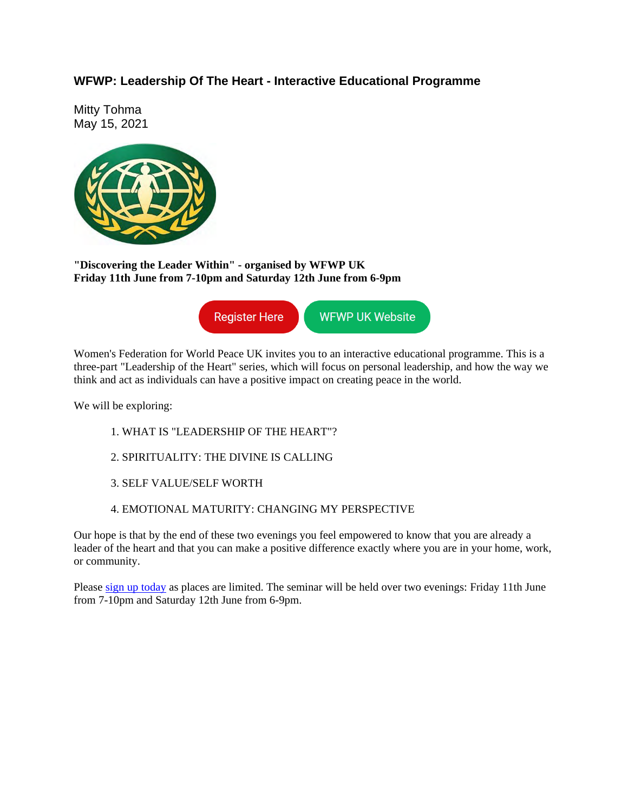## **WFWP: Leadership Of The Heart - Interactive Educational Programme**

Mitty Tohma May 15, 2021



**"Discovering the Leader Within" - organised by WFWP UK Friday 11th June from 7-10pm and Saturday 12th June from 6-9pm**

> **Register Here WFWP UK Website**

Women's Federation for World Peace UK invites you to an interactive educational programme. This is a three-part "Leadership of the Heart" series, which will focus on personal leadership, and how the way we think and act as individuals can have a positive impact on creating peace in the world.

We will be exploring:

- 1. WHAT IS "LEADERSHIP OF THE HEART"?
- 2. SPIRITUALITY: THE DIVINE IS CALLING
- 3. SELF VALUE/SELF WORTH
- 4. EMOTIONAL MATURITY: CHANGING MY PERSPECTIVE

Our hope is that by the end of these two evenings you feel empowered to know that you are already a leader of the heart and that you can make a positive difference exactly where you are in your home, work, or community.

Please sign up today as places are limited. The seminar will be held over two evenings: Friday 11th June from 7-10pm and Saturday 12th June from 6-9pm.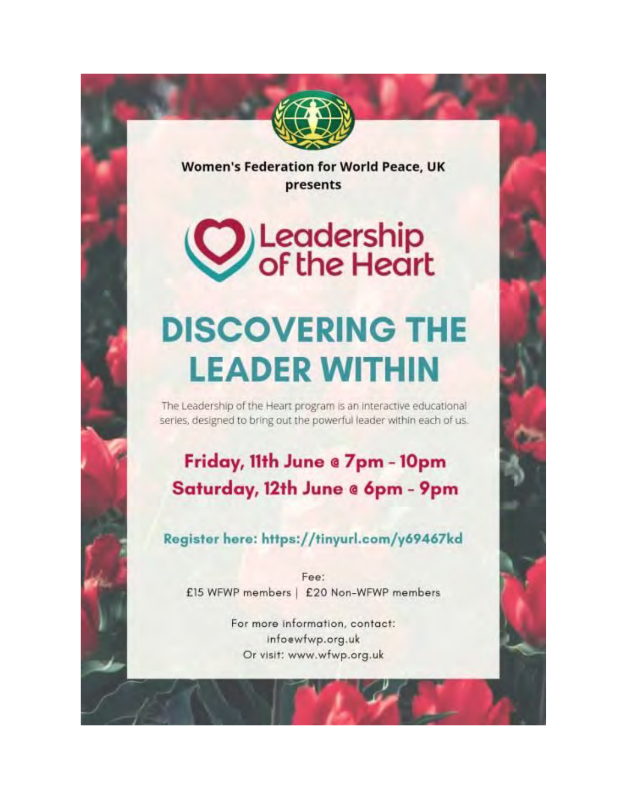

**Women's Federation for World Peace, UK** presents

**W** Leadership<br>Of the Heart

## **DISCOVERING THE LEADER WITHIN**

The Leadership of the Heart program is an interactive educational series, designed to bring out the powerful leader within each of us.

## Friday, 11th June @ 7pm - 10pm Saturday, 12th June @ 6pm - 9pm

Register here: https://tinyurl.com/y69467kd

Fee: £15 WFWP members | £20 Non-WFWP members

> For more information, contact: infoewfwp.org.uk Or visit: www.wfwp.org.uk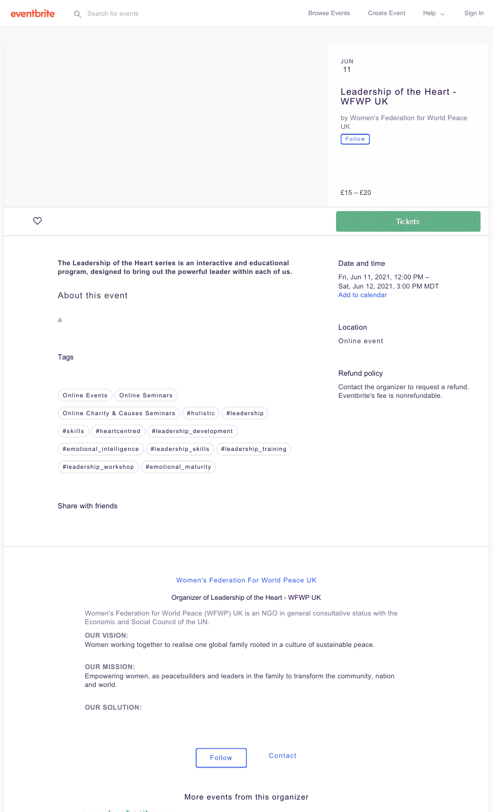|              |                                                                                                                                          | JUN<br>11                                                                        |  |  |  |
|--------------|------------------------------------------------------------------------------------------------------------------------------------------|----------------------------------------------------------------------------------|--|--|--|
|              |                                                                                                                                          | Leadership of the Heart -                                                        |  |  |  |
|              |                                                                                                                                          | WFWP UK                                                                          |  |  |  |
|              |                                                                                                                                          | by Women's Federation for World Peace<br>UK                                      |  |  |  |
|              |                                                                                                                                          | Follow                                                                           |  |  |  |
|              |                                                                                                                                          |                                                                                  |  |  |  |
|              |                                                                                                                                          |                                                                                  |  |  |  |
|              |                                                                                                                                          | $£15 - £20$                                                                      |  |  |  |
| $\heartsuit$ |                                                                                                                                          | <b>Tickets</b>                                                                   |  |  |  |
|              |                                                                                                                                          |                                                                                  |  |  |  |
|              | The Leadership of the Heart series is an interactive and educational                                                                     | Date and time                                                                    |  |  |  |
|              | program, designed to bring out the powerful leader within each of us.                                                                    | Fri, Jun 11, 2021, 12:00 PM -<br>Sat, Jun 12, 2021, 3:00 PM MDT                  |  |  |  |
|              | About this event                                                                                                                         | Add to calendar                                                                  |  |  |  |
|              | a                                                                                                                                        |                                                                                  |  |  |  |
|              |                                                                                                                                          | Location<br>Online event                                                         |  |  |  |
|              | <b>Tags</b>                                                                                                                              |                                                                                  |  |  |  |
|              |                                                                                                                                          | Refund policy                                                                    |  |  |  |
|              | <b>Online Events</b><br><b>Online Seminars</b>                                                                                           | Contact the organizer to request a refund.<br>Eventbrite's fee is nonrefundable. |  |  |  |
|              | Online Charity & Causes Seminars<br>#holistic<br>#leadership                                                                             |                                                                                  |  |  |  |
|              | #leadership_development<br>#skills<br>#heartcentred                                                                                      |                                                                                  |  |  |  |
|              | #emotional_intelligence<br>#leadership_skills<br>#leadership_training                                                                    |                                                                                  |  |  |  |
|              | #leadership_workshop<br>#emotional_maturity                                                                                              |                                                                                  |  |  |  |
|              |                                                                                                                                          |                                                                                  |  |  |  |
|              | Share with friends                                                                                                                       |                                                                                  |  |  |  |
|              |                                                                                                                                          |                                                                                  |  |  |  |
|              |                                                                                                                                          |                                                                                  |  |  |  |
|              |                                                                                                                                          |                                                                                  |  |  |  |
|              | Women's Federation For World Peace UK                                                                                                    |                                                                                  |  |  |  |
|              | Organizer of Leadership of the Heart - WFWP UK                                                                                           |                                                                                  |  |  |  |
|              | Women's Federation for World Peace (WFWP) UK is an NGO in general consultative status with the<br>Economic and Social Council of the UN. |                                                                                  |  |  |  |
|              | <b>OUR VISION:</b>                                                                                                                       |                                                                                  |  |  |  |
|              | Women working together to realise one global family rooted in a culture of sustainable peace.                                            |                                                                                  |  |  |  |
|              | <b>OUR MISSION:</b><br>Empowering women, as peacebuilders and leaders in the family to transform the community, nation                   |                                                                                  |  |  |  |
|              | and world.                                                                                                                               |                                                                                  |  |  |  |
|              | <b>OUR SOLUTION:</b>                                                                                                                     |                                                                                  |  |  |  |
|              |                                                                                                                                          |                                                                                  |  |  |  |
|              |                                                                                                                                          |                                                                                  |  |  |  |
|              | Contact<br><b>Follow</b>                                                                                                                 |                                                                                  |  |  |  |
|              |                                                                                                                                          |                                                                                  |  |  |  |
|              | More events from this organizer                                                                                                          |                                                                                  |  |  |  |